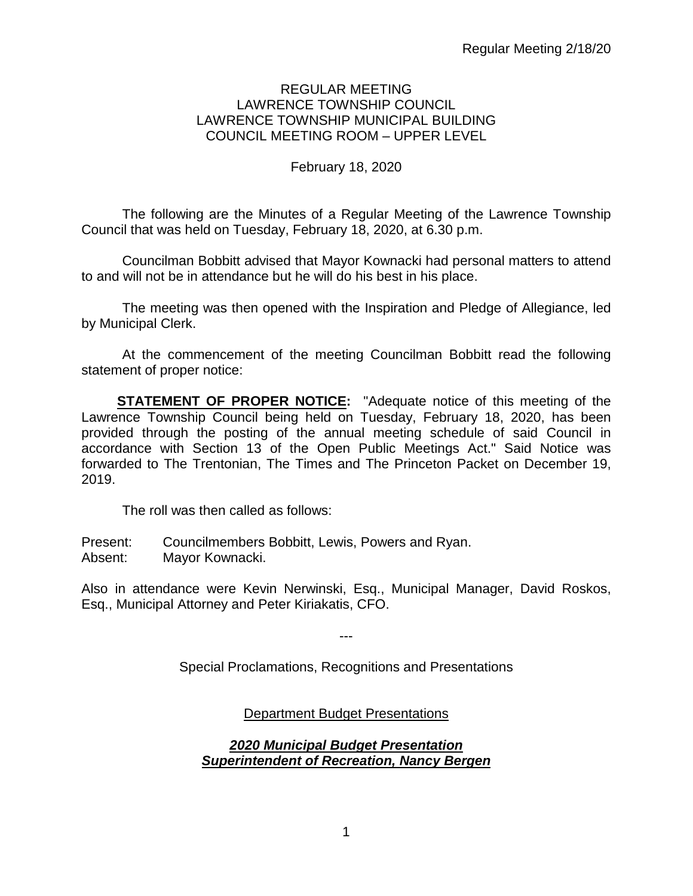### REGULAR MEETING LAWRENCE TOWNSHIP COUNCIL LAWRENCE TOWNSHIP MUNICIPAL BUILDING COUNCIL MEETING ROOM – UPPER LEVEL

## February 18, 2020

The following are the Minutes of a Regular Meeting of the Lawrence Township Council that was held on Tuesday, February 18, 2020, at 6.30 p.m.

Councilman Bobbitt advised that Mayor Kownacki had personal matters to attend to and will not be in attendance but he will do his best in his place.

The meeting was then opened with the Inspiration and Pledge of Allegiance, led by Municipal Clerk.

At the commencement of the meeting Councilman Bobbitt read the following statement of proper notice:

**STATEMENT OF PROPER NOTICE:** "Adequate notice of this meeting of the Lawrence Township Council being held on Tuesday, February 18, 2020, has been provided through the posting of the annual meeting schedule of said Council in accordance with Section 13 of the Open Public Meetings Act." Said Notice was forwarded to The Trentonian, The Times and The Princeton Packet on December 19, 2019.

The roll was then called as follows:

Present: Councilmembers Bobbitt, Lewis, Powers and Ryan. Absent: Mayor Kownacki.

Also in attendance were Kevin Nerwinski, Esq., Municipal Manager, David Roskos, Esq., Municipal Attorney and Peter Kiriakatis, CFO.

---

Special Proclamations, Recognitions and Presentations

Department Budget Presentations

## *2020 Municipal Budget Presentation Superintendent of Recreation, Nancy Bergen*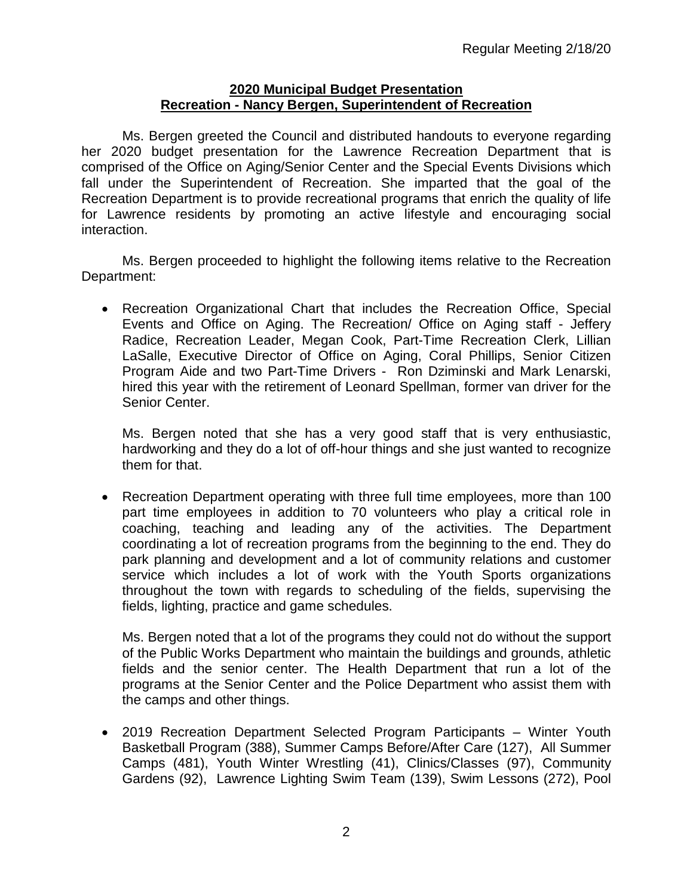### **2020 Municipal Budget Presentation Recreation - Nancy Bergen, Superintendent of Recreation**

Ms. Bergen greeted the Council and distributed handouts to everyone regarding her 2020 budget presentation for the Lawrence Recreation Department that is comprised of the Office on Aging/Senior Center and the Special Events Divisions which fall under the Superintendent of Recreation. She imparted that the goal of the Recreation Department is to provide recreational programs that enrich the quality of life for Lawrence residents by promoting an active lifestyle and encouraging social interaction.

Ms. Bergen proceeded to highlight the following items relative to the Recreation Department:

• Recreation Organizational Chart that includes the Recreation Office, Special Events and Office on Aging. The Recreation/ Office on Aging staff - Jeffery Radice, Recreation Leader, Megan Cook, Part-Time Recreation Clerk, Lillian LaSalle, Executive Director of Office on Aging, Coral Phillips, Senior Citizen Program Aide and two Part-Time Drivers - Ron Dziminski and Mark Lenarski, hired this year with the retirement of Leonard Spellman, former van driver for the Senior Center.

Ms. Bergen noted that she has a very good staff that is very enthusiastic, hardworking and they do a lot of off-hour things and she just wanted to recognize them for that.

• Recreation Department operating with three full time employees, more than 100 part time employees in addition to 70 volunteers who play a critical role in coaching, teaching and leading any of the activities. The Department coordinating a lot of recreation programs from the beginning to the end. They do park planning and development and a lot of community relations and customer service which includes a lot of work with the Youth Sports organizations throughout the town with regards to scheduling of the fields, supervising the fields, lighting, practice and game schedules.

Ms. Bergen noted that a lot of the programs they could not do without the support of the Public Works Department who maintain the buildings and grounds, athletic fields and the senior center. The Health Department that run a lot of the programs at the Senior Center and the Police Department who assist them with the camps and other things.

• 2019 Recreation Department Selected Program Participants – Winter Youth Basketball Program (388), Summer Camps Before/After Care (127), All Summer Camps (481), Youth Winter Wrestling (41), Clinics/Classes (97), Community Gardens (92), Lawrence Lighting Swim Team (139), Swim Lessons (272), Pool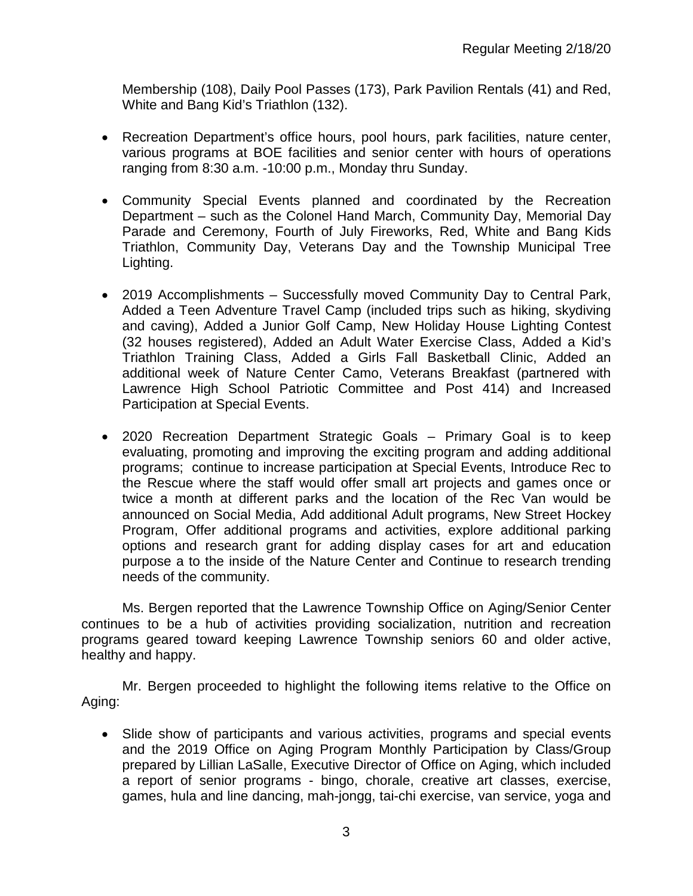Membership (108), Daily Pool Passes (173), Park Pavilion Rentals (41) and Red, White and Bang Kid's Triathlon (132).

- Recreation Department's office hours, pool hours, park facilities, nature center, various programs at BOE facilities and senior center with hours of operations ranging from 8:30 a.m. -10:00 p.m., Monday thru Sunday.
- Community Special Events planned and coordinated by the Recreation Department – such as the Colonel Hand March, Community Day, Memorial Day Parade and Ceremony, Fourth of July Fireworks, Red, White and Bang Kids Triathlon, Community Day, Veterans Day and the Township Municipal Tree Lighting.
- 2019 Accomplishments Successfully moved Community Day to Central Park, Added a Teen Adventure Travel Camp (included trips such as hiking, skydiving and caving), Added a Junior Golf Camp, New Holiday House Lighting Contest (32 houses registered), Added an Adult Water Exercise Class, Added a Kid's Triathlon Training Class, Added a Girls Fall Basketball Clinic, Added an additional week of Nature Center Camo, Veterans Breakfast (partnered with Lawrence High School Patriotic Committee and Post 414) and Increased Participation at Special Events.
- 2020 Recreation Department Strategic Goals Primary Goal is to keep evaluating, promoting and improving the exciting program and adding additional programs; continue to increase participation at Special Events, Introduce Rec to the Rescue where the staff would offer small art projects and games once or twice a month at different parks and the location of the Rec Van would be announced on Social Media, Add additional Adult programs, New Street Hockey Program, Offer additional programs and activities, explore additional parking options and research grant for adding display cases for art and education purpose a to the inside of the Nature Center and Continue to research trending needs of the community.

Ms. Bergen reported that the Lawrence Township Office on Aging/Senior Center continues to be a hub of activities providing socialization, nutrition and recreation programs geared toward keeping Lawrence Township seniors 60 and older active, healthy and happy.

Mr. Bergen proceeded to highlight the following items relative to the Office on Aging:

• Slide show of participants and various activities, programs and special events and the 2019 Office on Aging Program Monthly Participation by Class/Group prepared by Lillian LaSalle, Executive Director of Office on Aging, which included a report of senior programs - bingo, chorale, creative art classes, exercise, games, hula and line dancing, mah-jongg, tai-chi exercise, van service, yoga and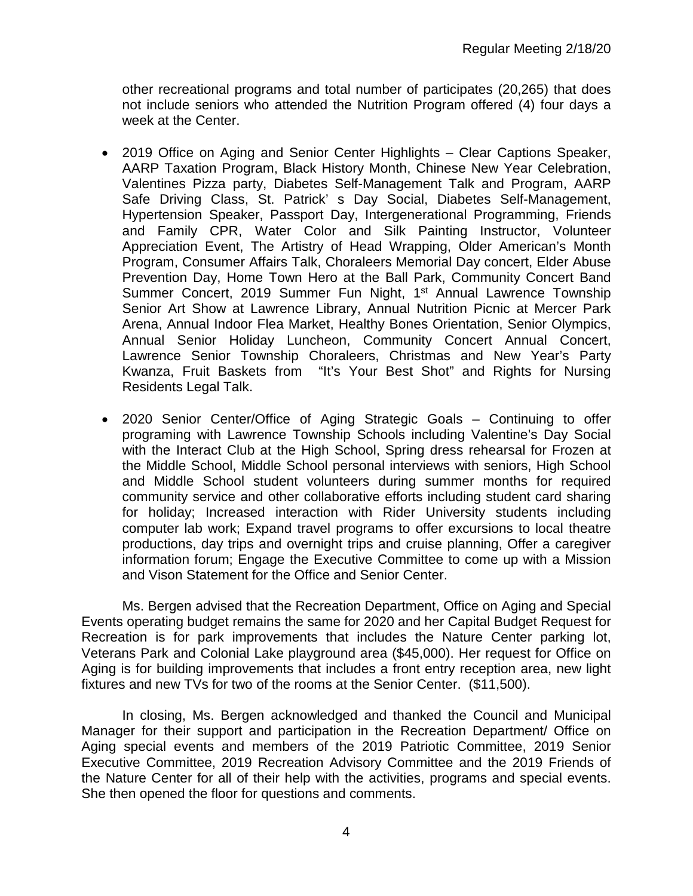other recreational programs and total number of participates (20,265) that does not include seniors who attended the Nutrition Program offered (4) four days a week at the Center.

- 2019 Office on Aging and Senior Center Highlights Clear Captions Speaker, AARP Taxation Program, Black History Month, Chinese New Year Celebration, Valentines Pizza party, Diabetes Self-Management Talk and Program, AARP Safe Driving Class, St. Patrick' s Day Social, Diabetes Self-Management, Hypertension Speaker, Passport Day, Intergenerational Programming, Friends and Family CPR, Water Color and Silk Painting Instructor, Volunteer Appreciation Event, The Artistry of Head Wrapping, Older American's Month Program, Consumer Affairs Talk, Choraleers Memorial Day concert, Elder Abuse Prevention Day, Home Town Hero at the Ball Park, Community Concert Band Summer Concert, 2019 Summer Fun Night, 1<sup>st</sup> Annual Lawrence Township Senior Art Show at Lawrence Library, Annual Nutrition Picnic at Mercer Park Arena, Annual Indoor Flea Market, Healthy Bones Orientation, Senior Olympics, Annual Senior Holiday Luncheon, Community Concert Annual Concert, Lawrence Senior Township Choraleers, Christmas and New Year's Party Kwanza, Fruit Baskets from "It's Your Best Shot" and Rights for Nursing Residents Legal Talk.
- 2020 Senior Center/Office of Aging Strategic Goals Continuing to offer programing with Lawrence Township Schools including Valentine's Day Social with the Interact Club at the High School, Spring dress rehearsal for Frozen at the Middle School, Middle School personal interviews with seniors, High School and Middle School student volunteers during summer months for required community service and other collaborative efforts including student card sharing for holiday; Increased interaction with Rider University students including computer lab work; Expand travel programs to offer excursions to local theatre productions, day trips and overnight trips and cruise planning, Offer a caregiver information forum; Engage the Executive Committee to come up with a Mission and Vison Statement for the Office and Senior Center.

Ms. Bergen advised that the Recreation Department, Office on Aging and Special Events operating budget remains the same for 2020 and her Capital Budget Request for Recreation is for park improvements that includes the Nature Center parking lot, Veterans Park and Colonial Lake playground area (\$45,000). Her request for Office on Aging is for building improvements that includes a front entry reception area, new light fixtures and new TVs for two of the rooms at the Senior Center. (\$11,500).

In closing, Ms. Bergen acknowledged and thanked the Council and Municipal Manager for their support and participation in the Recreation Department/ Office on Aging special events and members of the 2019 Patriotic Committee, 2019 Senior Executive Committee, 2019 Recreation Advisory Committee and the 2019 Friends of the Nature Center for all of their help with the activities, programs and special events. She then opened the floor for questions and comments.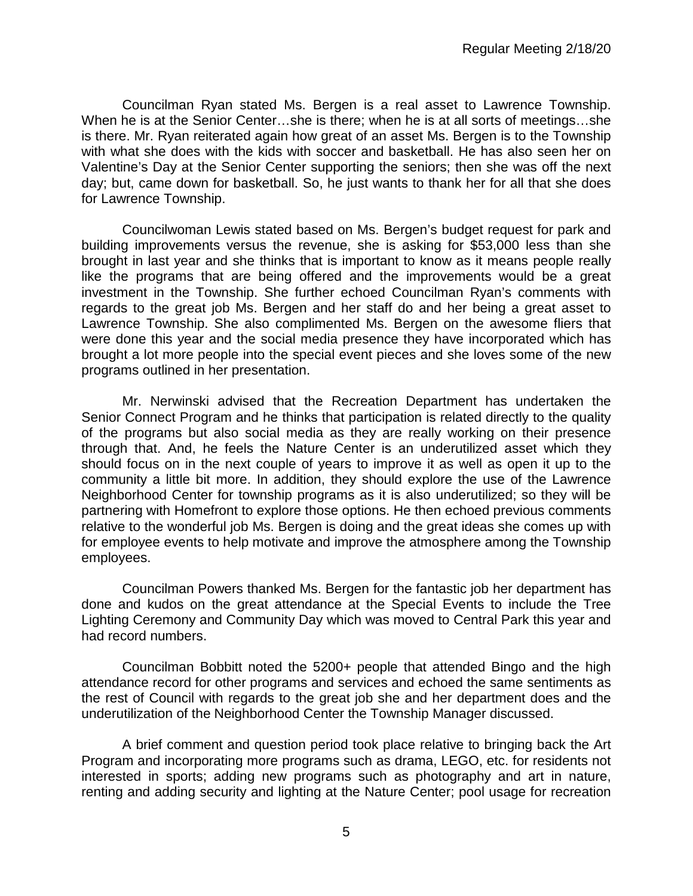Councilman Ryan stated Ms. Bergen is a real asset to Lawrence Township. When he is at the Senior Center…she is there; when he is at all sorts of meetings…she is there. Mr. Ryan reiterated again how great of an asset Ms. Bergen is to the Township with what she does with the kids with soccer and basketball. He has also seen her on Valentine's Day at the Senior Center supporting the seniors; then she was off the next day; but, came down for basketball. So, he just wants to thank her for all that she does for Lawrence Township.

Councilwoman Lewis stated based on Ms. Bergen's budget request for park and building improvements versus the revenue, she is asking for \$53,000 less than she brought in last year and she thinks that is important to know as it means people really like the programs that are being offered and the improvements would be a great investment in the Township. She further echoed Councilman Ryan's comments with regards to the great job Ms. Bergen and her staff do and her being a great asset to Lawrence Township. She also complimented Ms. Bergen on the awesome fliers that were done this year and the social media presence they have incorporated which has brought a lot more people into the special event pieces and she loves some of the new programs outlined in her presentation.

Mr. Nerwinski advised that the Recreation Department has undertaken the Senior Connect Program and he thinks that participation is related directly to the quality of the programs but also social media as they are really working on their presence through that. And, he feels the Nature Center is an underutilized asset which they should focus on in the next couple of years to improve it as well as open it up to the community a little bit more. In addition, they should explore the use of the Lawrence Neighborhood Center for township programs as it is also underutilized; so they will be partnering with Homefront to explore those options. He then echoed previous comments relative to the wonderful job Ms. Bergen is doing and the great ideas she comes up with for employee events to help motivate and improve the atmosphere among the Township employees.

Councilman Powers thanked Ms. Bergen for the fantastic job her department has done and kudos on the great attendance at the Special Events to include the Tree Lighting Ceremony and Community Day which was moved to Central Park this year and had record numbers.

Councilman Bobbitt noted the 5200+ people that attended Bingo and the high attendance record for other programs and services and echoed the same sentiments as the rest of Council with regards to the great job she and her department does and the underutilization of the Neighborhood Center the Township Manager discussed.

A brief comment and question period took place relative to bringing back the Art Program and incorporating more programs such as drama, LEGO, etc. for residents not interested in sports; adding new programs such as photography and art in nature, renting and adding security and lighting at the Nature Center; pool usage for recreation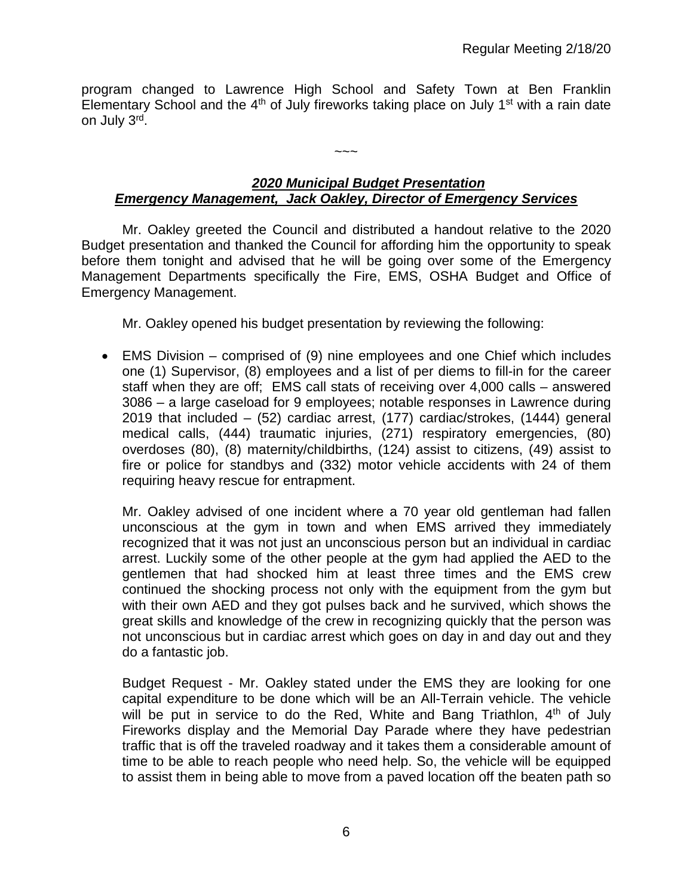program changed to Lawrence High School and Safety Town at Ben Franklin Elementary School and the  $4<sup>th</sup>$  of July fireworks taking place on July 1<sup>st</sup> with a rain date on July 3rd.

# *2020 Municipal Budget Presentation Emergency Management, Jack Oakley, Director of Emergency Services*

 $\sim\sim\sim$ 

Mr. Oakley greeted the Council and distributed a handout relative to the 2020 Budget presentation and thanked the Council for affording him the opportunity to speak before them tonight and advised that he will be going over some of the Emergency Management Departments specifically the Fire, EMS, OSHA Budget and Office of Emergency Management.

Mr. Oakley opened his budget presentation by reviewing the following:

• EMS Division – comprised of (9) nine employees and one Chief which includes one (1) Supervisor, (8) employees and a list of per diems to fill-in for the career staff when they are off; EMS call stats of receiving over 4,000 calls – answered 3086 – a large caseload for 9 employees; notable responses in Lawrence during 2019 that included – (52) cardiac arrest, (177) cardiac/strokes, (1444) general medical calls, (444) traumatic injuries, (271) respiratory emergencies, (80) overdoses (80), (8) maternity/childbirths, (124) assist to citizens, (49) assist to fire or police for standbys and (332) motor vehicle accidents with 24 of them requiring heavy rescue for entrapment.

Mr. Oakley advised of one incident where a 70 year old gentleman had fallen unconscious at the gym in town and when EMS arrived they immediately recognized that it was not just an unconscious person but an individual in cardiac arrest. Luckily some of the other people at the gym had applied the AED to the gentlemen that had shocked him at least three times and the EMS crew continued the shocking process not only with the equipment from the gym but with their own AED and they got pulses back and he survived, which shows the great skills and knowledge of the crew in recognizing quickly that the person was not unconscious but in cardiac arrest which goes on day in and day out and they do a fantastic job.

Budget Request - Mr. Oakley stated under the EMS they are looking for one capital expenditure to be done which will be an All-Terrain vehicle. The vehicle will be put in service to do the Red, White and Bang Triathlon,  $4<sup>th</sup>$  of July Fireworks display and the Memorial Day Parade where they have pedestrian traffic that is off the traveled roadway and it takes them a considerable amount of time to be able to reach people who need help. So, the vehicle will be equipped to assist them in being able to move from a paved location off the beaten path so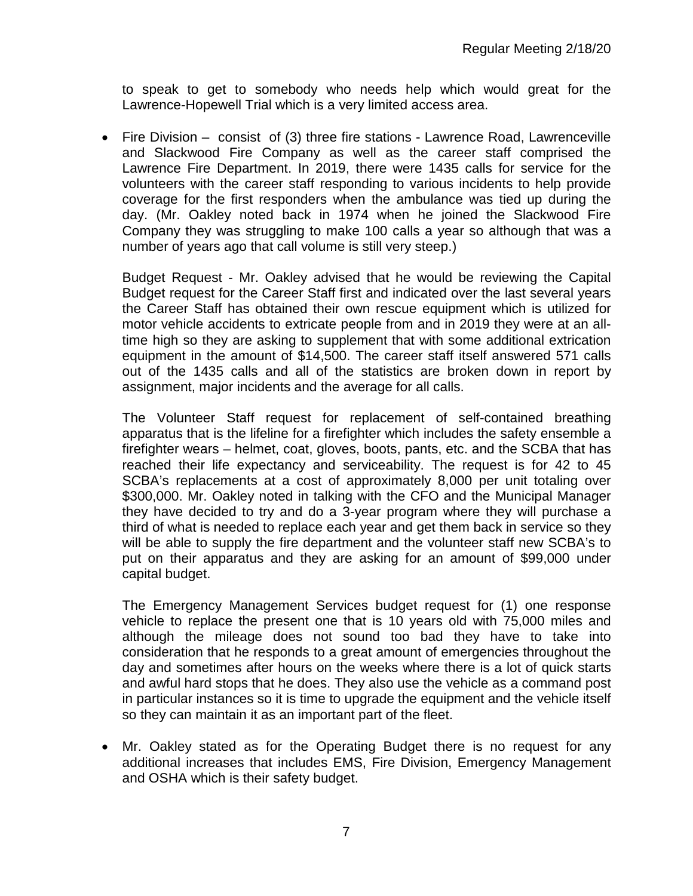to speak to get to somebody who needs help which would great for the Lawrence-Hopewell Trial which is a very limited access area.

• Fire Division – consist of (3) three fire stations - Lawrence Road, Lawrenceville and Slackwood Fire Company as well as the career staff comprised the Lawrence Fire Department. In 2019, there were 1435 calls for service for the volunteers with the career staff responding to various incidents to help provide coverage for the first responders when the ambulance was tied up during the day. (Mr. Oakley noted back in 1974 when he joined the Slackwood Fire Company they was struggling to make 100 calls a year so although that was a number of years ago that call volume is still very steep.)

Budget Request - Mr. Oakley advised that he would be reviewing the Capital Budget request for the Career Staff first and indicated over the last several years the Career Staff has obtained their own rescue equipment which is utilized for motor vehicle accidents to extricate people from and in 2019 they were at an alltime high so they are asking to supplement that with some additional extrication equipment in the amount of \$14,500. The career staff itself answered 571 calls out of the 1435 calls and all of the statistics are broken down in report by assignment, major incidents and the average for all calls.

The Volunteer Staff request for replacement of self-contained breathing apparatus that is the lifeline for a firefighter which includes the safety ensemble a firefighter wears – helmet, coat, gloves, boots, pants, etc. and the SCBA that has reached their life expectancy and serviceability. The request is for 42 to 45 SCBA's replacements at a cost of approximately 8,000 per unit totaling over \$300,000. Mr. Oakley noted in talking with the CFO and the Municipal Manager they have decided to try and do a 3-year program where they will purchase a third of what is needed to replace each year and get them back in service so they will be able to supply the fire department and the volunteer staff new SCBA's to put on their apparatus and they are asking for an amount of \$99,000 under capital budget.

The Emergency Management Services budget request for (1) one response vehicle to replace the present one that is 10 years old with 75,000 miles and although the mileage does not sound too bad they have to take into consideration that he responds to a great amount of emergencies throughout the day and sometimes after hours on the weeks where there is a lot of quick starts and awful hard stops that he does. They also use the vehicle as a command post in particular instances so it is time to upgrade the equipment and the vehicle itself so they can maintain it as an important part of the fleet.

• Mr. Oakley stated as for the Operating Budget there is no request for any additional increases that includes EMS, Fire Division, Emergency Management and OSHA which is their safety budget.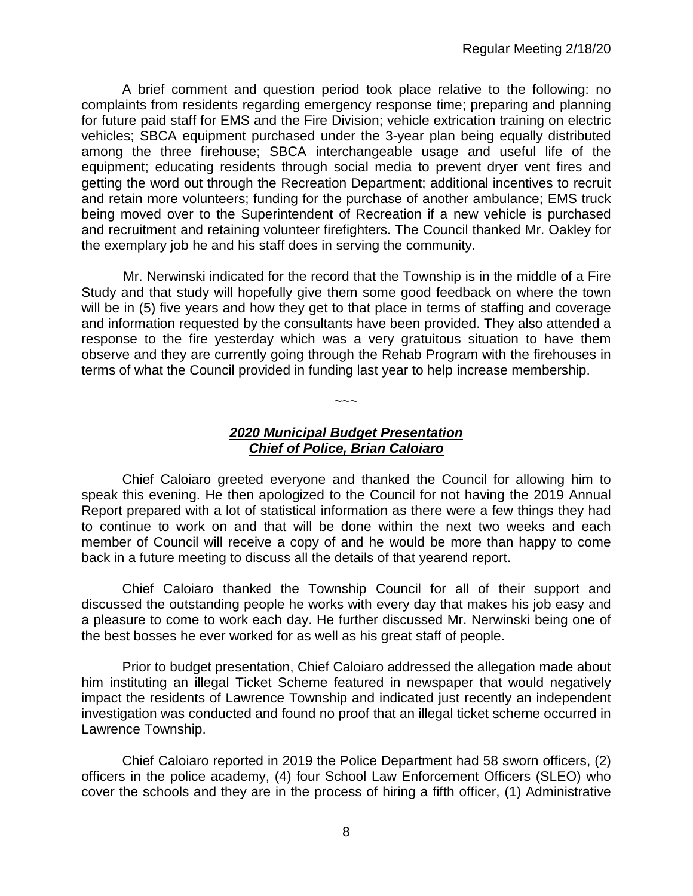A brief comment and question period took place relative to the following: no complaints from residents regarding emergency response time; preparing and planning for future paid staff for EMS and the Fire Division; vehicle extrication training on electric vehicles; SBCA equipment purchased under the 3-year plan being equally distributed among the three firehouse; SBCA interchangeable usage and useful life of the equipment; educating residents through social media to prevent dryer vent fires and getting the word out through the Recreation Department; additional incentives to recruit and retain more volunteers; funding for the purchase of another ambulance; EMS truck being moved over to the Superintendent of Recreation if a new vehicle is purchased and recruitment and retaining volunteer firefighters. The Council thanked Mr. Oakley for the exemplary job he and his staff does in serving the community.

 Mr. Nerwinski indicated for the record that the Township is in the middle of a Fire Study and that study will hopefully give them some good feedback on where the town will be in (5) five years and how they get to that place in terms of staffing and coverage and information requested by the consultants have been provided. They also attended a response to the fire yesterday which was a very gratuitous situation to have them observe and they are currently going through the Rehab Program with the firehouses in terms of what the Council provided in funding last year to help increase membership.

## *2020 Municipal Budget Presentation Chief of Police, Brian Caloiaro*

 $\sim$   $\sim$   $\sim$ 

Chief Caloiaro greeted everyone and thanked the Council for allowing him to speak this evening. He then apologized to the Council for not having the 2019 Annual Report prepared with a lot of statistical information as there were a few things they had to continue to work on and that will be done within the next two weeks and each member of Council will receive a copy of and he would be more than happy to come back in a future meeting to discuss all the details of that yearend report.

Chief Caloiaro thanked the Township Council for all of their support and discussed the outstanding people he works with every day that makes his job easy and a pleasure to come to work each day. He further discussed Mr. Nerwinski being one of the best bosses he ever worked for as well as his great staff of people.

Prior to budget presentation, Chief Caloiaro addressed the allegation made about him instituting an illegal Ticket Scheme featured in newspaper that would negatively impact the residents of Lawrence Township and indicated just recently an independent investigation was conducted and found no proof that an illegal ticket scheme occurred in Lawrence Township.

Chief Caloiaro reported in 2019 the Police Department had 58 sworn officers, (2) officers in the police academy, (4) four School Law Enforcement Officers (SLEO) who cover the schools and they are in the process of hiring a fifth officer, (1) Administrative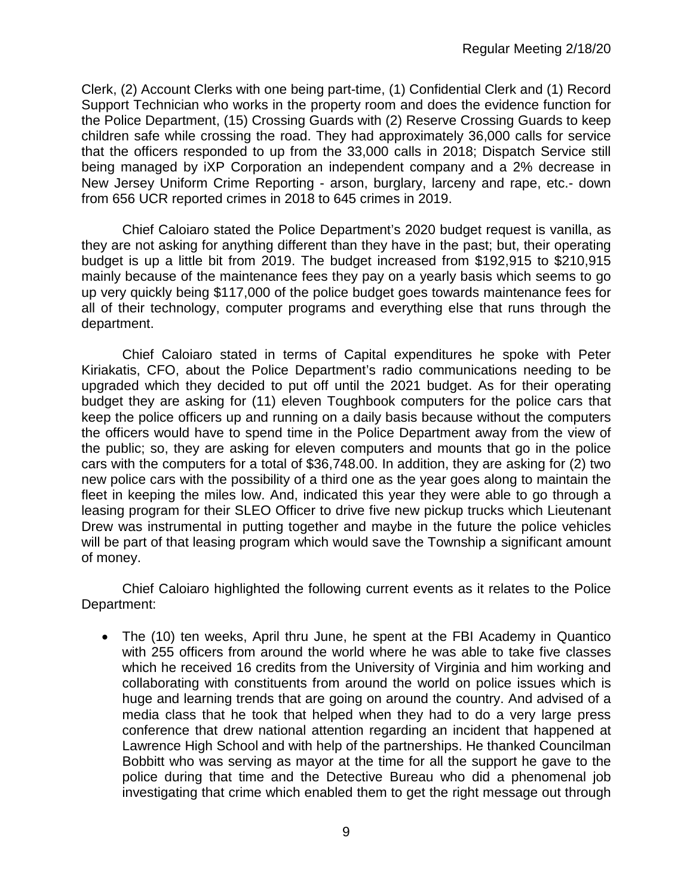Clerk, (2) Account Clerks with one being part-time, (1) Confidential Clerk and (1) Record Support Technician who works in the property room and does the evidence function for the Police Department, (15) Crossing Guards with (2) Reserve Crossing Guards to keep children safe while crossing the road. They had approximately 36,000 calls for service that the officers responded to up from the 33,000 calls in 2018; Dispatch Service still being managed by iXP Corporation an independent company and a 2% decrease in New Jersey Uniform Crime Reporting - arson, burglary, larceny and rape, etc.- down from 656 UCR reported crimes in 2018 to 645 crimes in 2019.

Chief Caloiaro stated the Police Department's 2020 budget request is vanilla, as they are not asking for anything different than they have in the past; but, their operating budget is up a little bit from 2019. The budget increased from \$192,915 to \$210,915 mainly because of the maintenance fees they pay on a yearly basis which seems to go up very quickly being \$117,000 of the police budget goes towards maintenance fees for all of their technology, computer programs and everything else that runs through the department.

Chief Caloiaro stated in terms of Capital expenditures he spoke with Peter Kiriakatis, CFO, about the Police Department's radio communications needing to be upgraded which they decided to put off until the 2021 budget. As for their operating budget they are asking for (11) eleven Toughbook computers for the police cars that keep the police officers up and running on a daily basis because without the computers the officers would have to spend time in the Police Department away from the view of the public; so, they are asking for eleven computers and mounts that go in the police cars with the computers for a total of \$36,748.00. In addition, they are asking for (2) two new police cars with the possibility of a third one as the year goes along to maintain the fleet in keeping the miles low. And, indicated this year they were able to go through a leasing program for their SLEO Officer to drive five new pickup trucks which Lieutenant Drew was instrumental in putting together and maybe in the future the police vehicles will be part of that leasing program which would save the Township a significant amount of money.

Chief Caloiaro highlighted the following current events as it relates to the Police Department:

• The (10) ten weeks, April thru June, he spent at the FBI Academy in Quantico with 255 officers from around the world where he was able to take five classes which he received 16 credits from the University of Virginia and him working and collaborating with constituents from around the world on police issues which is huge and learning trends that are going on around the country. And advised of a media class that he took that helped when they had to do a very large press conference that drew national attention regarding an incident that happened at Lawrence High School and with help of the partnerships. He thanked Councilman Bobbitt who was serving as mayor at the time for all the support he gave to the police during that time and the Detective Bureau who did a phenomenal job investigating that crime which enabled them to get the right message out through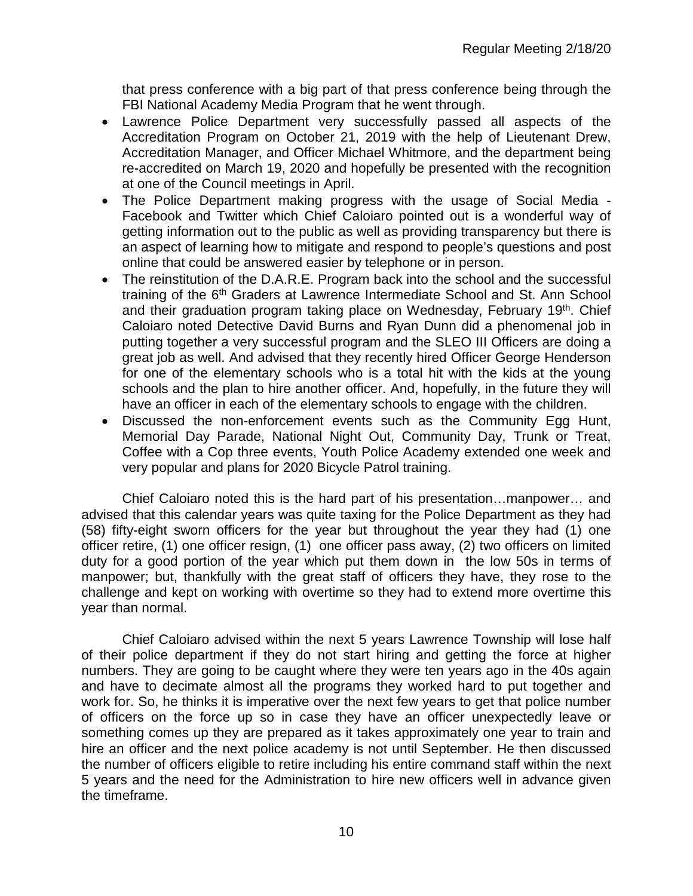that press conference with a big part of that press conference being through the FBI National Academy Media Program that he went through.

- Lawrence Police Department very successfully passed all aspects of the Accreditation Program on October 21, 2019 with the help of Lieutenant Drew, Accreditation Manager, and Officer Michael Whitmore, and the department being re-accredited on March 19, 2020 and hopefully be presented with the recognition at one of the Council meetings in April.
- The Police Department making progress with the usage of Social Media Facebook and Twitter which Chief Caloiaro pointed out is a wonderful way of getting information out to the public as well as providing transparency but there is an aspect of learning how to mitigate and respond to people's questions and post online that could be answered easier by telephone or in person.
- The reinstitution of the D.A.R.E. Program back into the school and the successful training of the 6<sup>th</sup> Graders at Lawrence Intermediate School and St. Ann School and their graduation program taking place on Wednesday, February 19<sup>th</sup>. Chief Caloiaro noted Detective David Burns and Ryan Dunn did a phenomenal job in putting together a very successful program and the SLEO III Officers are doing a great job as well. And advised that they recently hired Officer George Henderson for one of the elementary schools who is a total hit with the kids at the young schools and the plan to hire another officer. And, hopefully, in the future they will have an officer in each of the elementary schools to engage with the children.
- Discussed the non-enforcement events such as the Community Egg Hunt, Memorial Day Parade, National Night Out, Community Day, Trunk or Treat, Coffee with a Cop three events, Youth Police Academy extended one week and very popular and plans for 2020 Bicycle Patrol training.

Chief Caloiaro noted this is the hard part of his presentation…manpower… and advised that this calendar years was quite taxing for the Police Department as they had (58) fifty-eight sworn officers for the year but throughout the year they had (1) one officer retire, (1) one officer resign, (1) one officer pass away, (2) two officers on limited duty for a good portion of the year which put them down in the low 50s in terms of manpower; but, thankfully with the great staff of officers they have, they rose to the challenge and kept on working with overtime so they had to extend more overtime this year than normal.

Chief Caloiaro advised within the next 5 years Lawrence Township will lose half of their police department if they do not start hiring and getting the force at higher numbers. They are going to be caught where they were ten years ago in the 40s again and have to decimate almost all the programs they worked hard to put together and work for. So, he thinks it is imperative over the next few years to get that police number of officers on the force up so in case they have an officer unexpectedly leave or something comes up they are prepared as it takes approximately one year to train and hire an officer and the next police academy is not until September. He then discussed the number of officers eligible to retire including his entire command staff within the next 5 years and the need for the Administration to hire new officers well in advance given the timeframe.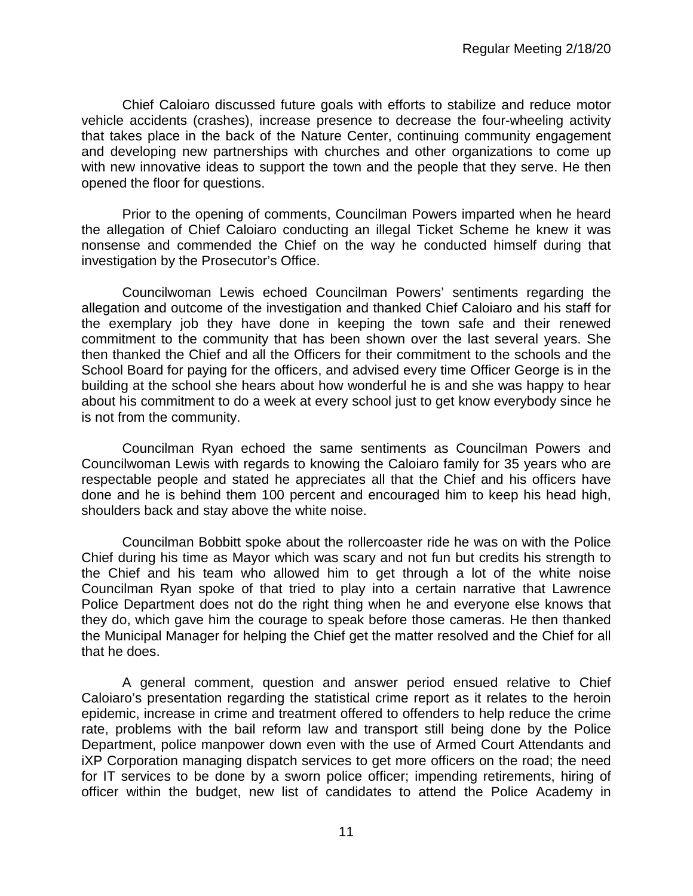Chief Caloiaro discussed future goals with efforts to stabilize and reduce motor vehicle accidents (crashes), increase presence to decrease the four-wheeling activity that takes place in the back of the Nature Center, continuing community engagement and developing new partnerships with churches and other organizations to come up with new innovative ideas to support the town and the people that they serve. He then opened the floor for questions.

Prior to the opening of comments, Councilman Powers imparted when he heard the allegation of Chief Caloiaro conducting an illegal Ticket Scheme he knew it was nonsense and commended the Chief on the way he conducted himself during that investigation by the Prosecutor's Office.

Councilwoman Lewis echoed Councilman Powers' sentiments regarding the allegation and outcome of the investigation and thanked Chief Caloiaro and his staff for the exemplary job they have done in keeping the town safe and their renewed commitment to the community that has been shown over the last several years. She then thanked the Chief and all the Officers for their commitment to the schools and the School Board for paying for the officers, and advised every time Officer George is in the building at the school she hears about how wonderful he is and she was happy to hear about his commitment to do a week at every school just to get know everybody since he is not from the community.

Councilman Ryan echoed the same sentiments as Councilman Powers and Councilwoman Lewis with regards to knowing the Caloiaro family for 35 years who are respectable people and stated he appreciates all that the Chief and his officers have done and he is behind them 100 percent and encouraged him to keep his head high, shoulders back and stay above the white noise.

Councilman Bobbitt spoke about the rollercoaster ride he was on with the Police Chief during his time as Mayor which was scary and not fun but credits his strength to the Chief and his team who allowed him to get through a lot of the white noise Councilman Ryan spoke of that tried to play into a certain narrative that Lawrence Police Department does not do the right thing when he and everyone else knows that they do, which gave him the courage to speak before those cameras. He then thanked the Municipal Manager for helping the Chief get the matter resolved and the Chief for all that he does.

A general comment, question and answer period ensued relative to Chief Caloiaro's presentation regarding the statistical crime report as it relates to the heroin epidemic, increase in crime and treatment offered to offenders to help reduce the crime rate, problems with the bail reform law and transport still being done by the Police Department, police manpower down even with the use of Armed Court Attendants and iXP Corporation managing dispatch services to get more officers on the road; the need for IT services to be done by a sworn police officer; impending retirements, hiring of officer within the budget, new list of candidates to attend the Police Academy in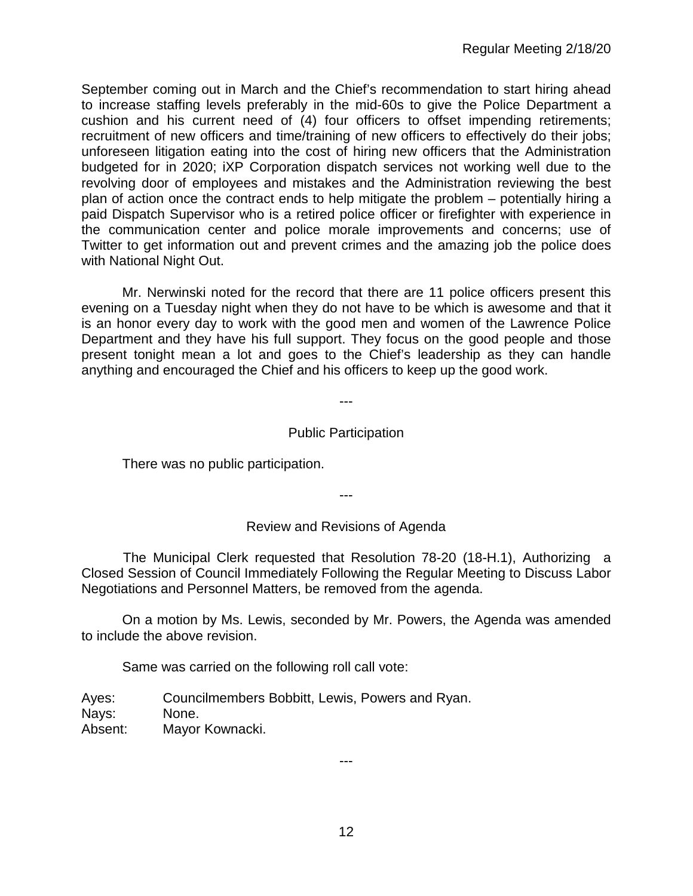September coming out in March and the Chief's recommendation to start hiring ahead to increase staffing levels preferably in the mid-60s to give the Police Department a cushion and his current need of (4) four officers to offset impending retirements; recruitment of new officers and time/training of new officers to effectively do their jobs; unforeseen litigation eating into the cost of hiring new officers that the Administration budgeted for in 2020; iXP Corporation dispatch services not working well due to the revolving door of employees and mistakes and the Administration reviewing the best plan of action once the contract ends to help mitigate the problem – potentially hiring a paid Dispatch Supervisor who is a retired police officer or firefighter with experience in the communication center and police morale improvements and concerns; use of Twitter to get information out and prevent crimes and the amazing job the police does with National Night Out.

Mr. Nerwinski noted for the record that there are 11 police officers present this evening on a Tuesday night when they do not have to be which is awesome and that it is an honor every day to work with the good men and women of the Lawrence Police Department and they have his full support. They focus on the good people and those present tonight mean a lot and goes to the Chief's leadership as they can handle anything and encouraged the Chief and his officers to keep up the good work.

## Public Participation

---

There was no public participation.

---

## Review and Revisions of Agenda

 The Municipal Clerk requested that Resolution 78-20 (18-H.1), Authorizing a Closed Session of Council Immediately Following the Regular Meeting to Discuss Labor Negotiations and Personnel Matters, be removed from the agenda.

On a motion by Ms. Lewis, seconded by Mr. Powers, the Agenda was amended to include the above revision.

Same was carried on the following roll call vote:

Ayes: Councilmembers Bobbitt, Lewis, Powers and Ryan. Nays: None. Absent: Mayor Kownacki.

---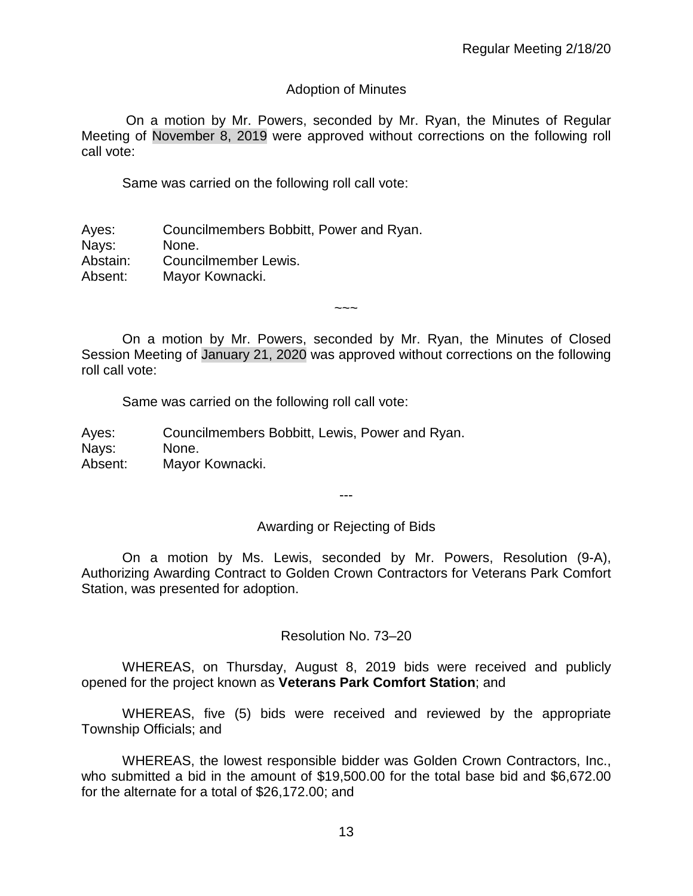### Adoption of Minutes

On a motion by Mr. Powers, seconded by Mr. Ryan, the Minutes of Regular Meeting of November 8, 2019 were approved without corrections on the following roll call vote:

Same was carried on the following roll call vote:

Ayes: Councilmembers Bobbitt, Power and Ryan. Nays: None. Abstain: Councilmember Lewis. Absent: Mayor Kownacki.

On a motion by Mr. Powers, seconded by Mr. Ryan, the Minutes of Closed Session Meeting of January 21, 2020 was approved without corrections on the following roll call vote:

 $\sim\sim\sim$ 

Same was carried on the following roll call vote:

Ayes: Councilmembers Bobbitt, Lewis, Power and Ryan. Nays: None. Absent: Mayor Kownacki.

---

#### Awarding or Rejecting of Bids

On a motion by Ms. Lewis, seconded by Mr. Powers, Resolution (9-A), Authorizing Awarding Contract to Golden Crown Contractors for Veterans Park Comfort Station, was presented for adoption.

#### Resolution No. 73–20

WHEREAS, on Thursday, August 8, 2019 bids were received and publicly opened for the project known as **Veterans Park Comfort Station**; and

WHEREAS, five (5) bids were received and reviewed by the appropriate Township Officials; and

WHEREAS, the lowest responsible bidder was Golden Crown Contractors, Inc., who submitted a bid in the amount of \$19,500.00 for the total base bid and \$6,672.00 for the alternate for a total of \$26,172.00; and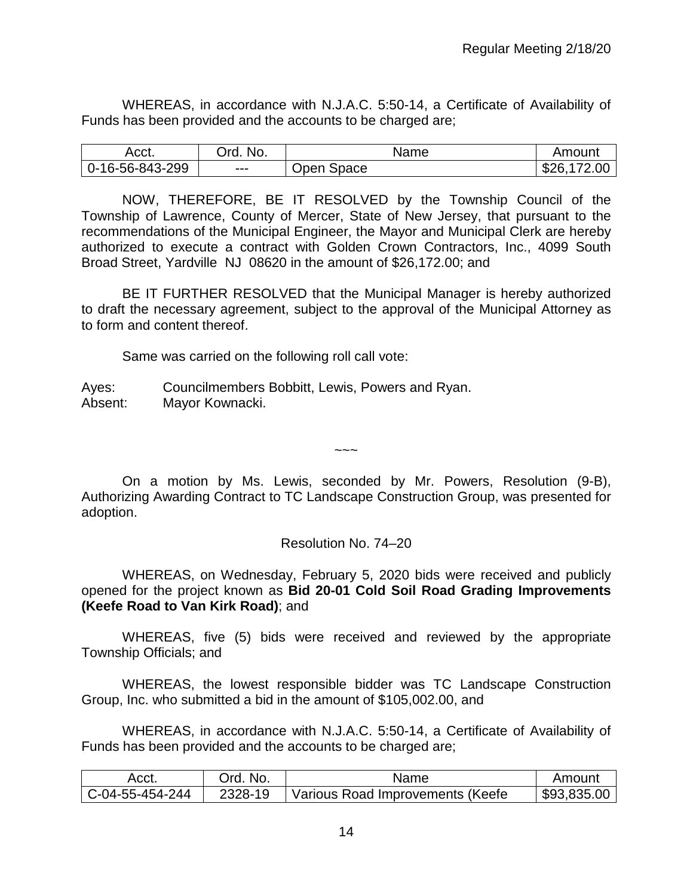WHEREAS, in accordance with N.J.A.C. 5:50-14, a Certificate of Availability of Funds has been provided and the accounts to be charged are;

| Acct.           | No.<br>Ord. | Name       | Amount                  |
|-----------------|-------------|------------|-------------------------|
| 0-16-56-843-299 | $--$        | Open Space | 172.00<br>ፍንፍ<br>່ ໓∠ບ. |

NOW, THEREFORE, BE IT RESOLVED by the Township Council of the Township of Lawrence, County of Mercer, State of New Jersey, that pursuant to the recommendations of the Municipal Engineer, the Mayor and Municipal Clerk are hereby authorized to execute a contract with Golden Crown Contractors, Inc., 4099 South Broad Street, Yardville NJ 08620 in the amount of \$26,172.00; and

BE IT FURTHER RESOLVED that the Municipal Manager is hereby authorized to draft the necessary agreement, subject to the approval of the Municipal Attorney as to form and content thereof.

Same was carried on the following roll call vote:

Ayes: Councilmembers Bobbitt, Lewis, Powers and Ryan. Absent: Mayor Kownacki.

On a motion by Ms. Lewis, seconded by Mr. Powers, Resolution (9-B), Authorizing Awarding Contract to TC Landscape Construction Group, was presented for adoption.

 $\sim\sim\sim$ 

## Resolution No. 74–20

WHEREAS, on Wednesday, February 5, 2020 bids were received and publicly opened for the project known as **Bid 20-01 Cold Soil Road Grading Improvements (Keefe Road to Van Kirk Road)**; and

WHEREAS, five (5) bids were received and reviewed by the appropriate Township Officials; and

WHEREAS, the lowest responsible bidder was TC Landscape Construction Group, Inc. who submitted a bid in the amount of \$105,002.00, and

WHEREAS, in accordance with N.J.A.C. 5:50-14, a Certificate of Availability of Funds has been provided and the accounts to be charged are;

| Acct.           | Drd. No. | Name                             | Amount      |
|-----------------|----------|----------------------------------|-------------|
| C-04-55-454-244 | 2328-19  | Various Road Improvements (Keefe | \$93,835,00 |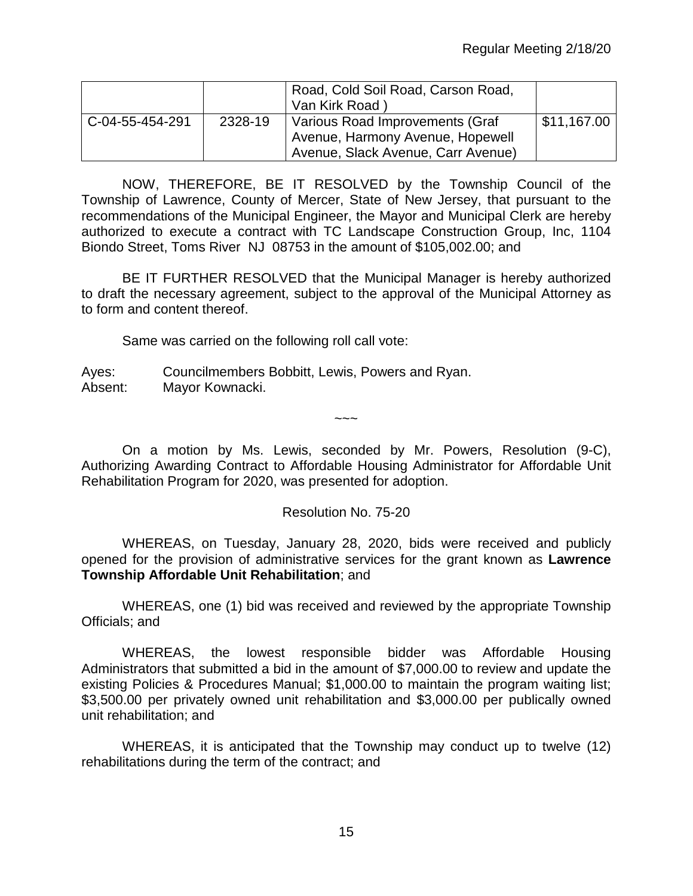|                 |         | Road, Cold Soil Road, Carson Road,<br>Van Kirk Road) |             |
|-----------------|---------|------------------------------------------------------|-------------|
| C-04-55-454-291 | 2328-19 | Various Road Improvements (Graf                      | \$11,167.00 |
|                 |         | Avenue, Harmony Avenue, Hopewell                     |             |
|                 |         | Avenue, Slack Avenue, Carr Avenue)                   |             |

NOW, THEREFORE, BE IT RESOLVED by the Township Council of the Township of Lawrence, County of Mercer, State of New Jersey, that pursuant to the recommendations of the Municipal Engineer, the Mayor and Municipal Clerk are hereby authorized to execute a contract with TC Landscape Construction Group, Inc, 1104 Biondo Street, Toms River NJ 08753 in the amount of \$105,002.00; and

BE IT FURTHER RESOLVED that the Municipal Manager is hereby authorized to draft the necessary agreement, subject to the approval of the Municipal Attorney as to form and content thereof.

Same was carried on the following roll call vote:

Ayes: Councilmembers Bobbitt, Lewis, Powers and Ryan. Absent: Mayor Kownacki.

On a motion by Ms. Lewis, seconded by Mr. Powers, Resolution (9-C), Authorizing Awarding Contract to Affordable Housing Administrator for Affordable Unit Rehabilitation Program for 2020, was presented for adoption.

 $\sim\sim\sim$ 

# Resolution No. 75-20

WHEREAS, on Tuesday, January 28, 2020, bids were received and publicly opened for the provision of administrative services for the grant known as **Lawrence Township Affordable Unit Rehabilitation**; and

WHEREAS, one (1) bid was received and reviewed by the appropriate Township Officials; and

WHEREAS, the lowest responsible bidder was Affordable Housing Administrators that submitted a bid in the amount of \$7,000.00 to review and update the existing Policies & Procedures Manual; \$1,000.00 to maintain the program waiting list; \$3,500.00 per privately owned unit rehabilitation and \$3,000.00 per publically owned unit rehabilitation; and

WHEREAS, it is anticipated that the Township may conduct up to twelve (12) rehabilitations during the term of the contract; and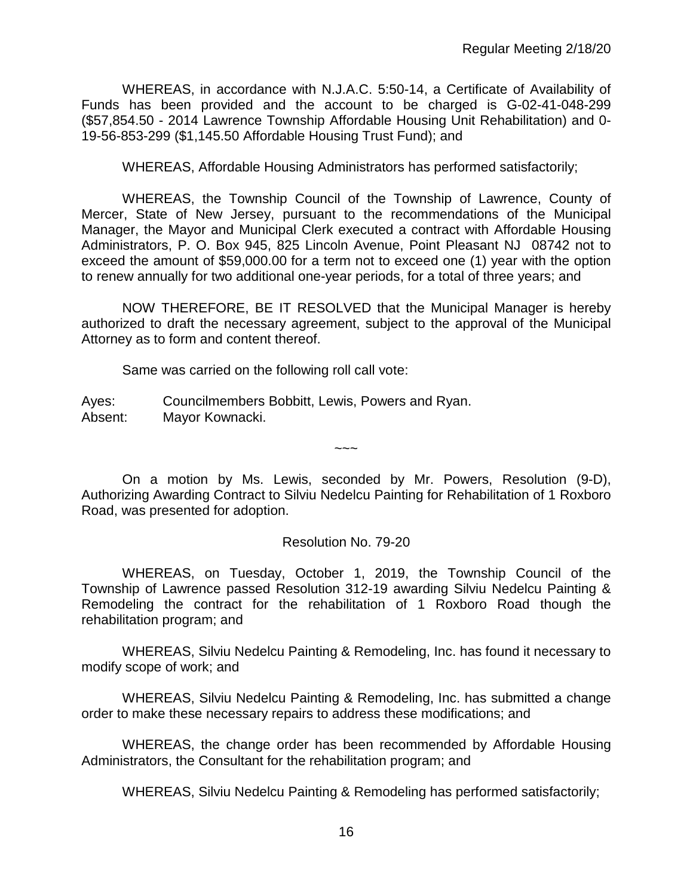WHEREAS, in accordance with N.J.A.C. 5:50-14, a Certificate of Availability of Funds has been provided and the account to be charged is G-02-41-048-299 (\$57,854.50 - 2014 Lawrence Township Affordable Housing Unit Rehabilitation) and 0- 19-56-853-299 (\$1,145.50 Affordable Housing Trust Fund); and

WHEREAS, Affordable Housing Administrators has performed satisfactorily;

WHEREAS, the Township Council of the Township of Lawrence, County of Mercer, State of New Jersey, pursuant to the recommendations of the Municipal Manager, the Mayor and Municipal Clerk executed a contract with Affordable Housing Administrators, P. O. Box 945, 825 Lincoln Avenue, Point Pleasant NJ 08742 not to exceed the amount of \$59,000.00 for a term not to exceed one (1) year with the option to renew annually for two additional one-year periods, for a total of three years; and

NOW THEREFORE, BE IT RESOLVED that the Municipal Manager is hereby authorized to draft the necessary agreement, subject to the approval of the Municipal Attorney as to form and content thereof.

Same was carried on the following roll call vote:

Ayes: Councilmembers Bobbitt, Lewis, Powers and Ryan. Absent: Mayor Kownacki.

On a motion by Ms. Lewis, seconded by Mr. Powers, Resolution (9-D), Authorizing Awarding Contract to Silviu Nedelcu Painting for Rehabilitation of 1 Roxboro Road, was presented for adoption.

 $\sim\sim\sim$ 

#### Resolution No. 79-20

WHEREAS, on Tuesday, October 1, 2019, the Township Council of the Township of Lawrence passed Resolution 312-19 awarding Silviu Nedelcu Painting & Remodeling the contract for the rehabilitation of 1 Roxboro Road though the rehabilitation program; and

WHEREAS, Silviu Nedelcu Painting & Remodeling, Inc. has found it necessary to modify scope of work; and

WHEREAS, Silviu Nedelcu Painting & Remodeling, Inc. has submitted a change order to make these necessary repairs to address these modifications; and

WHEREAS, the change order has been recommended by Affordable Housing Administrators, the Consultant for the rehabilitation program; and

WHEREAS, Silviu Nedelcu Painting & Remodeling has performed satisfactorily;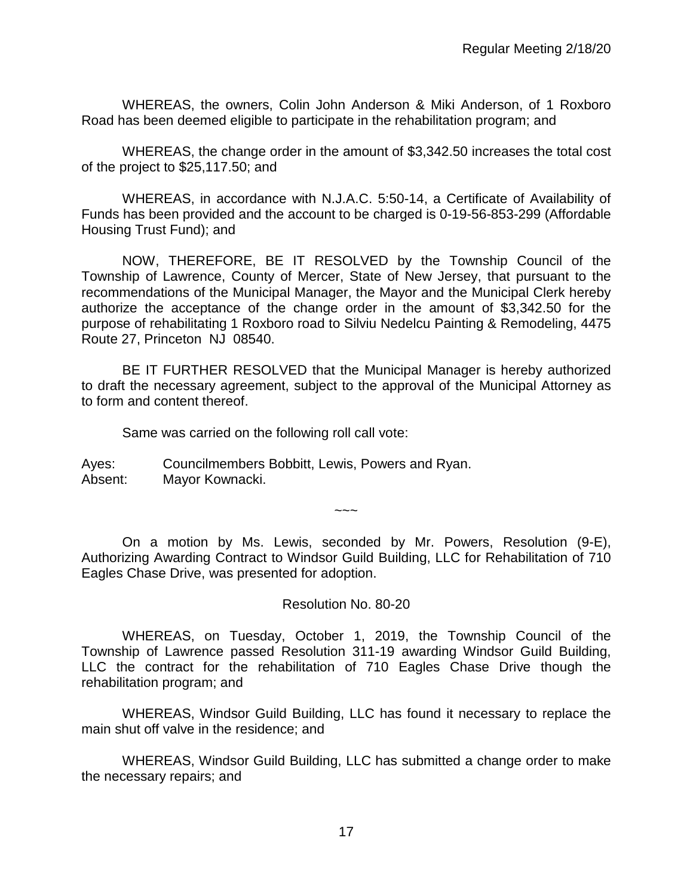WHEREAS, the owners, Colin John Anderson & Miki Anderson, of 1 Roxboro Road has been deemed eligible to participate in the rehabilitation program; and

WHEREAS, the change order in the amount of \$3,342.50 increases the total cost of the project to \$25,117.50; and

WHEREAS, in accordance with N.J.A.C. 5:50-14, a Certificate of Availability of Funds has been provided and the account to be charged is 0-19-56-853-299 (Affordable Housing Trust Fund); and

NOW, THEREFORE, BE IT RESOLVED by the Township Council of the Township of Lawrence, County of Mercer, State of New Jersey, that pursuant to the recommendations of the Municipal Manager, the Mayor and the Municipal Clerk hereby authorize the acceptance of the change order in the amount of \$3,342.50 for the purpose of rehabilitating 1 Roxboro road to Silviu Nedelcu Painting & Remodeling, 4475 Route 27, Princeton NJ 08540.

BE IT FURTHER RESOLVED that the Municipal Manager is hereby authorized to draft the necessary agreement, subject to the approval of the Municipal Attorney as to form and content thereof.

Same was carried on the following roll call vote:

Ayes: Councilmembers Bobbitt, Lewis, Powers and Ryan. Absent: Mayor Kownacki.

On a motion by Ms. Lewis, seconded by Mr. Powers, Resolution (9-E), Authorizing Awarding Contract to Windsor Guild Building, LLC for Rehabilitation of 710 Eagles Chase Drive, was presented for adoption.

 $\sim\sim\sim$ 

## Resolution No. 80-20

WHEREAS, on Tuesday, October 1, 2019, the Township Council of the Township of Lawrence passed Resolution 311-19 awarding Windsor Guild Building, LLC the contract for the rehabilitation of 710 Eagles Chase Drive though the rehabilitation program; and

WHEREAS, Windsor Guild Building, LLC has found it necessary to replace the main shut off valve in the residence; and

WHEREAS, Windsor Guild Building, LLC has submitted a change order to make the necessary repairs; and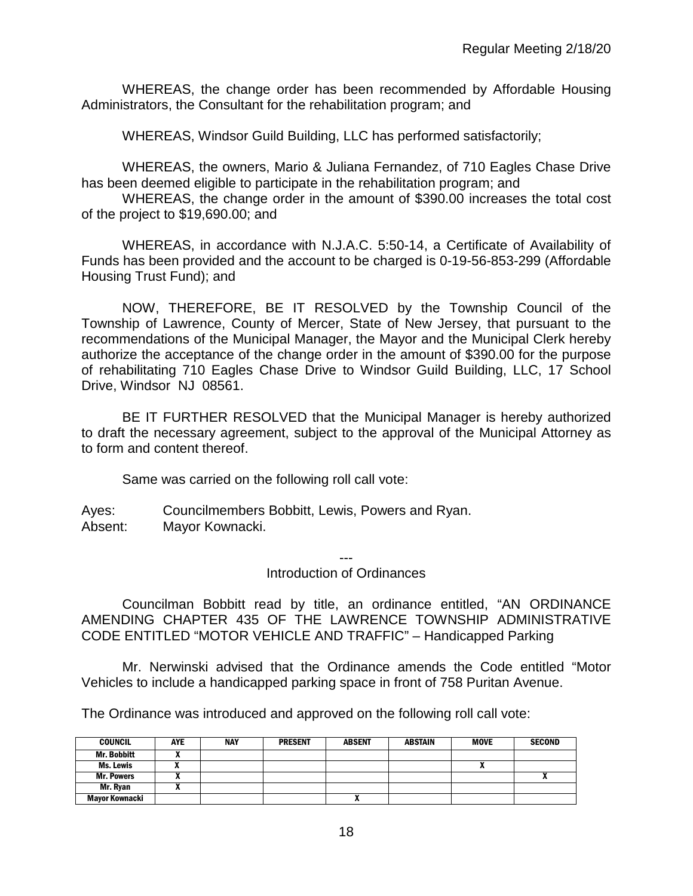WHEREAS, the change order has been recommended by Affordable Housing Administrators, the Consultant for the rehabilitation program; and

WHEREAS, Windsor Guild Building, LLC has performed satisfactorily;

WHEREAS, the owners, Mario & Juliana Fernandez, of 710 Eagles Chase Drive has been deemed eligible to participate in the rehabilitation program; and

WHEREAS, the change order in the amount of \$390.00 increases the total cost of the project to \$19,690.00; and

WHEREAS, in accordance with N.J.A.C. 5:50-14, a Certificate of Availability of Funds has been provided and the account to be charged is 0-19-56-853-299 (Affordable Housing Trust Fund); and

NOW, THEREFORE, BE IT RESOLVED by the Township Council of the Township of Lawrence, County of Mercer, State of New Jersey, that pursuant to the recommendations of the Municipal Manager, the Mayor and the Municipal Clerk hereby authorize the acceptance of the change order in the amount of \$390.00 for the purpose of rehabilitating 710 Eagles Chase Drive to Windsor Guild Building, LLC, 17 School Drive, Windsor NJ 08561.

BE IT FURTHER RESOLVED that the Municipal Manager is hereby authorized to draft the necessary agreement, subject to the approval of the Municipal Attorney as to form and content thereof.

Same was carried on the following roll call vote:

Ayes: Councilmembers Bobbitt, Lewis, Powers and Ryan. Absent: Mayor Kownacki.

---

#### Introduction of Ordinances

Councilman Bobbitt read by title, an ordinance entitled, "AN ORDINANCE AMENDING CHAPTER 435 OF THE LAWRENCE TOWNSHIP ADMINISTRATIVE CODE ENTITLED "MOTOR VEHICLE AND TRAFFIC" – Handicapped Parking

Mr. Nerwinski advised that the Ordinance amends the Code entitled "Motor Vehicles to include a handicapped parking space in front of 758 Puritan Avenue.

The Ordinance was introduced and approved on the following roll call vote:

| <b>COUNCIL</b>     | AYE | <b>NAY</b> | <b>PRESENT</b> | <b>ABSENT</b> | <b>ABSTAIN</b> | <b>MOVE</b> | <b>SECOND</b> |
|--------------------|-----|------------|----------------|---------------|----------------|-------------|---------------|
| <b>Mr. Bobbitt</b> |     |            |                |               |                |             |               |
| Ms. Lewis          |     |            |                |               |                | n           |               |
| <b>Mr. Powers</b>  |     |            |                |               |                |             |               |
| Mr. Rvan           |     |            |                |               |                |             |               |
| Mayor Kownacki     |     |            |                | ^             |                |             |               |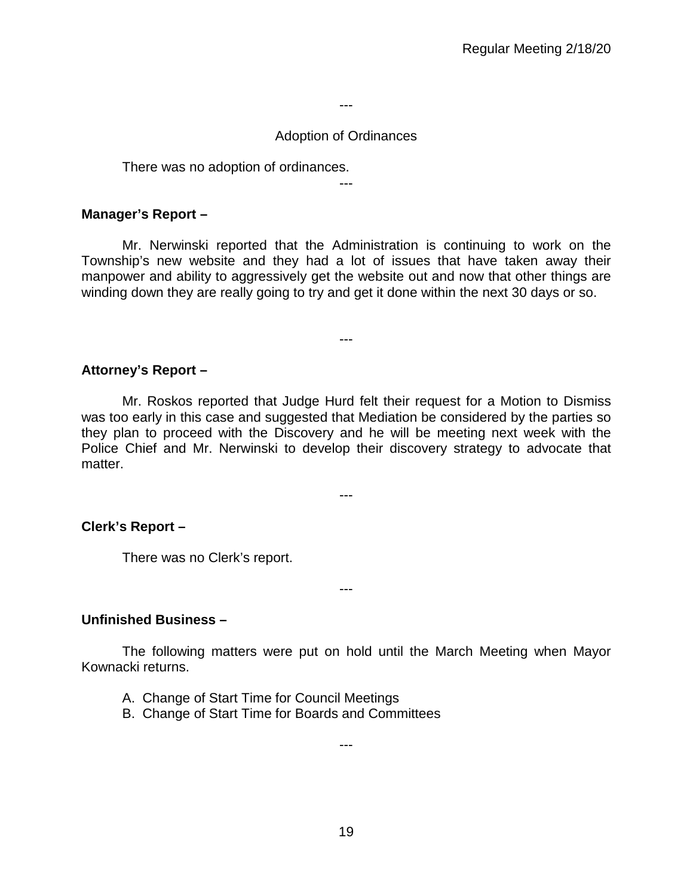---

### Adoption of Ordinances

There was no adoption of ordinances.

---

## **Manager's Report –**

Mr. Nerwinski reported that the Administration is continuing to work on the Township's new website and they had a lot of issues that have taken away their manpower and ability to aggressively get the website out and now that other things are winding down they are really going to try and get it done within the next 30 days or so.

---

## **Attorney's Report –**

Mr. Roskos reported that Judge Hurd felt their request for a Motion to Dismiss was too early in this case and suggested that Mediation be considered by the parties so they plan to proceed with the Discovery and he will be meeting next week with the Police Chief and Mr. Nerwinski to develop their discovery strategy to advocate that matter.

---

## **Clerk's Report –**

There was no Clerk's report.

## **Unfinished Business –**

The following matters were put on hold until the March Meeting when Mayor Kownacki returns.

---

- A. Change of Start Time for Council Meetings
- B. Change of Start Time for Boards and Committees

---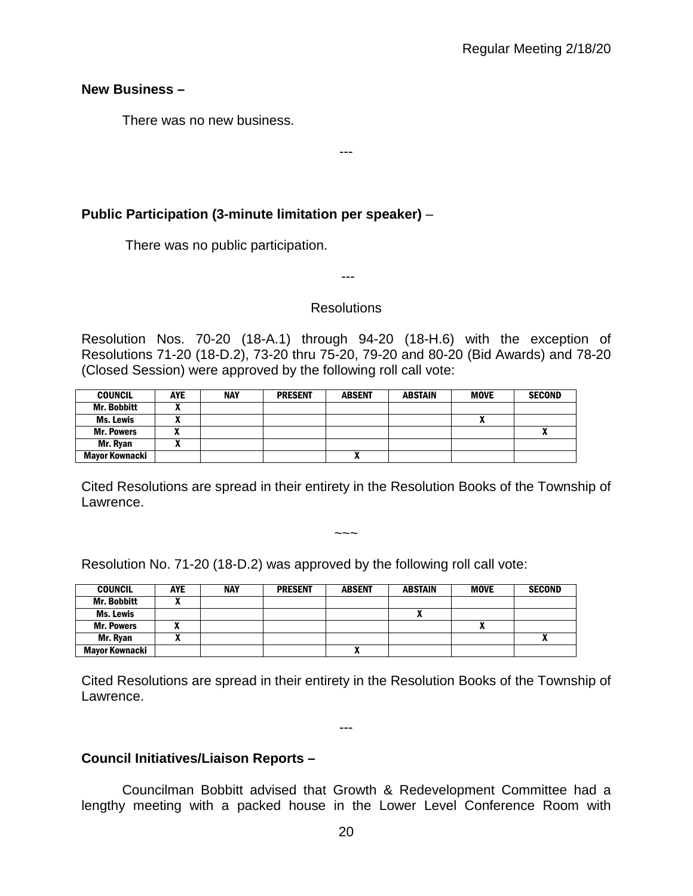**New Business –** 

There was no new business.

# **Public Participation (3-minute limitation per speaker)** –

There was no public participation.

---

---

### Resolutions

Resolution Nos. 70-20 (18-A.1) through 94-20 (18-H.6) with the exception of Resolutions 71-20 (18-D.2), 73-20 thru 75-20, 79-20 and 80-20 (Bid Awards) and 78-20 (Closed Session) were approved by the following roll call vote:

| <b>COUNCIL</b>     | <b>AYE</b> | <b>NAY</b> | <b>PRESENT</b> | <b>ABSENT</b> | ABSTAIN | <b>MOVE</b> | <b>SECOND</b> |
|--------------------|------------|------------|----------------|---------------|---------|-------------|---------------|
| <b>Mr. Bobbitt</b> |            |            |                |               |         |             |               |
| <b>Ms. Lewis</b>   |            |            |                |               |         | Λ           |               |
| <b>Mr. Powers</b>  |            |            |                |               |         |             | $\mathbf{r}$  |
| Mr. Ryan           | ~          |            |                |               |         |             |               |
| Mayor Kownacki     |            |            |                |               |         |             |               |

Cited Resolutions are spread in their entirety in the Resolution Books of the Township of Lawrence.

 $\sim\sim\sim$ 

Resolution No. 71-20 (18-D.2) was approved by the following roll call vote:

| <b>COUNCIL</b>     | <b>AYE</b> | <b>NAY</b> | <b>PRESENT</b> | <b>ABSENT</b> | <b>ABSTAIN</b> | <b>MOVE</b> | <b>SECOND</b> |
|--------------------|------------|------------|----------------|---------------|----------------|-------------|---------------|
| <b>Mr. Bobbitt</b> |            |            |                |               |                |             |               |
| Ms. Lewis          |            |            |                |               |                |             |               |
| <b>Mr. Powers</b>  |            |            |                |               |                | n           |               |
| Mr. Ryan           |            |            |                |               |                |             | ^             |
| Mayor Kownacki     |            |            |                |               |                |             |               |

Cited Resolutions are spread in their entirety in the Resolution Books of the Township of Lawrence.

---

## **Council Initiatives/Liaison Reports –**

Councilman Bobbitt advised that Growth & Redevelopment Committee had a lengthy meeting with a packed house in the Lower Level Conference Room with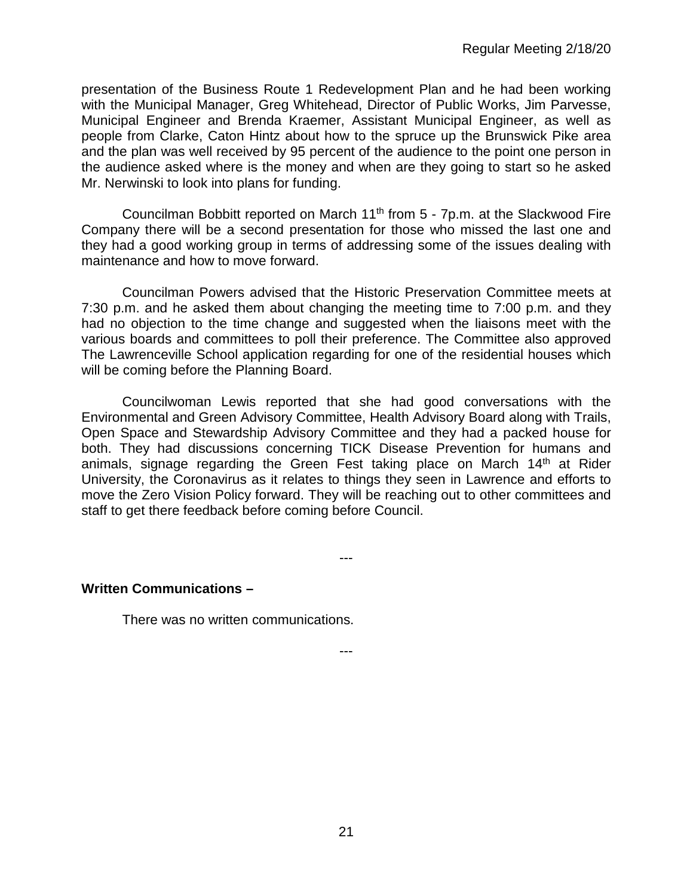presentation of the Business Route 1 Redevelopment Plan and he had been working with the Municipal Manager, Greg Whitehead, Director of Public Works, Jim Parvesse, Municipal Engineer and Brenda Kraemer, Assistant Municipal Engineer, as well as people from Clarke, Caton Hintz about how to the spruce up the Brunswick Pike area and the plan was well received by 95 percent of the audience to the point one person in the audience asked where is the money and when are they going to start so he asked Mr. Nerwinski to look into plans for funding.

Councilman Bobbitt reported on March  $11<sup>th</sup>$  from  $5 - 7p$ .m. at the Slackwood Fire Company there will be a second presentation for those who missed the last one and they had a good working group in terms of addressing some of the issues dealing with maintenance and how to move forward.

Councilman Powers advised that the Historic Preservation Committee meets at 7:30 p.m. and he asked them about changing the meeting time to 7:00 p.m. and they had no objection to the time change and suggested when the liaisons meet with the various boards and committees to poll their preference. The Committee also approved The Lawrenceville School application regarding for one of the residential houses which will be coming before the Planning Board.

Councilwoman Lewis reported that she had good conversations with the Environmental and Green Advisory Committee, Health Advisory Board along with Trails, Open Space and Stewardship Advisory Committee and they had a packed house for both. They had discussions concerning TICK Disease Prevention for humans and animals, signage regarding the Green Fest taking place on March 14<sup>th</sup> at Rider University, the Coronavirus as it relates to things they seen in Lawrence and efforts to move the Zero Vision Policy forward. They will be reaching out to other committees and staff to get there feedback before coming before Council.

---

---

#### **Written Communications –**

There was no written communications.